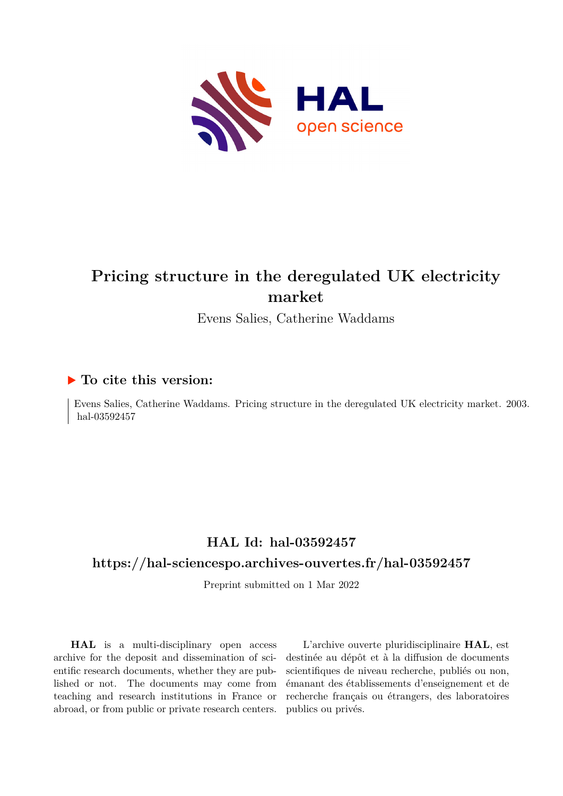<span id="page-0-0"></span>

# **Pricing structure in the deregulated UK electricity market**

Evens Salies, Catherine Waddams

### **To cite this version:**

Evens Salies, Catherine Waddams. Pricing structure in the deregulated UK electricity market. 2003. hal-03592457

## **HAL Id: hal-03592457**

### **<https://hal-sciencespo.archives-ouvertes.fr/hal-03592457>**

Preprint submitted on 1 Mar 2022

**HAL** is a multi-disciplinary open access archive for the deposit and dissemination of scientific research documents, whether they are published or not. The documents may come from teaching and research institutions in France or abroad, or from public or private research centers.

L'archive ouverte pluridisciplinaire **HAL**, est destinée au dépôt et à la diffusion de documents scientifiques de niveau recherche, publiés ou non, émanant des établissements d'enseignement et de recherche français ou étrangers, des laboratoires publics ou privés.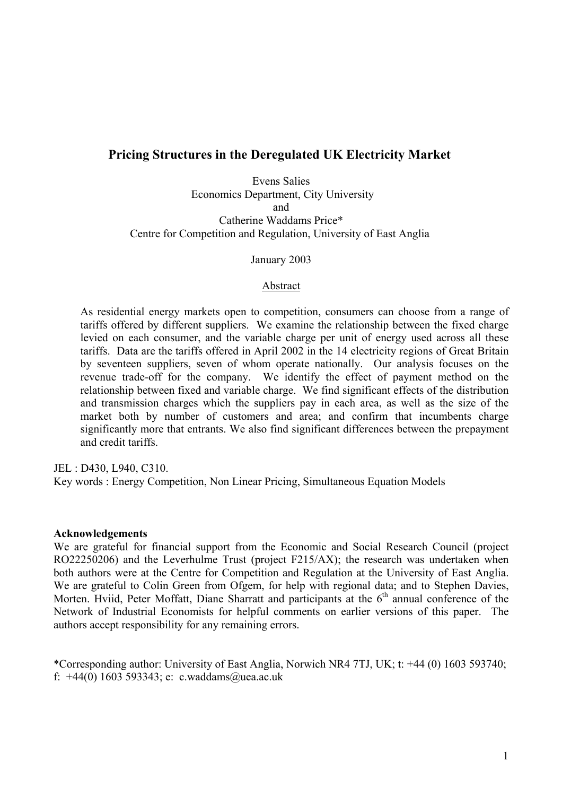## **Pricing Structures in the Deregulated UK Electricity Market**

Evens Salies Economics Department, City University and Catherine Waddams Price\* Centre for Competition and Regulation, University of East Anglia

January 2003

#### Abstract

As residential energy markets open to competition, consumers can choose from a range of tariffs offered by different suppliers. We examine the relationship between the fixed charge levied on each consumer, and the variable charge per unit of energy used across all these tariffs. Data are the tariffs offered in April 2002 in the 14 electricity regions of Great Britain by seventeen suppliers, seven of whom operate nationally. Our analysis focuses on the revenue trade-off for the company. We identify the effect of payment method on the relationship between fixed and variable charge. We find significant effects of the distribution and transmission charges which the suppliers pay in each area, as well as the size of the market both by number of customers and area; and confirm that incumbents charge significantly more that entrants. We also find significant differences between the prepayment and credit tariffs.

JEL : D430, L940, C310.

Key words : Energy Competition, Non Linear Pricing, Simultaneous Equation Models

#### **Acknowledgements**

We are grateful for financial support from the Economic and Social Research Council (project RO22250206) and the Leverhulme Trust (project F215/AX); the research was undertaken when both authors were at the Centre for Competition and Regulation at the University of East Anglia. We are grateful to Colin Green from Ofgem, for help with regional data; and to Stephen Davies, Morten. Hviid, Peter Moffatt, Diane Sharratt and participants at the  $6<sup>th</sup>$  annual conference of the Network of Industrial Economists for helpful comments on earlier versions of this paper. The authors accept responsibility for any remaining errors.

\*Corresponding author: University of East Anglia, Norwich NR4 7TJ, UK; t: +44 (0) 1603 593740; f:  $+44(0)$  1603 593343; e: c.waddams@uea.ac.uk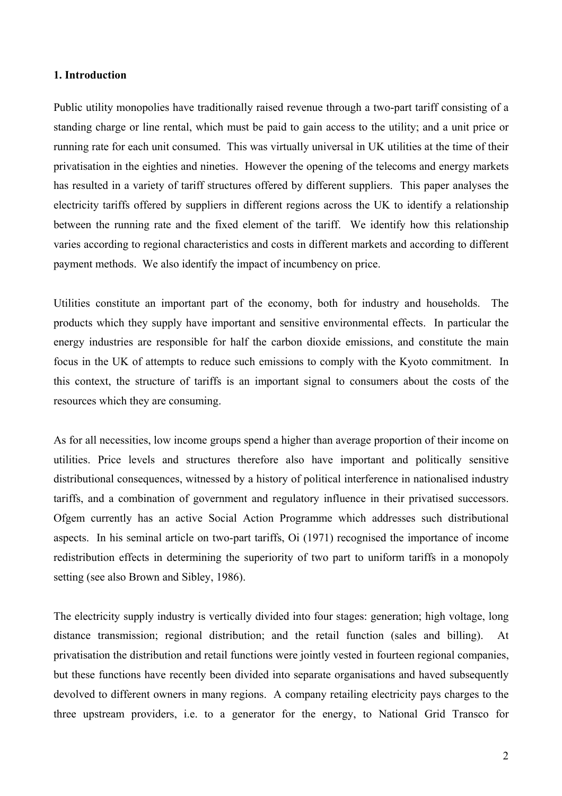#### **1. Introduction**

Public utility monopolies have traditionally raised revenue through a two-part tariff consisting of a standing charge or line rental, which must be paid to gain access to the utility; and a unit price or running rate for each unit consumed. This was virtually universal in UK utilities at the time of their privatisation in the eighties and nineties. However the opening of the telecoms and energy markets has resulted in a variety of tariff structures offered by different suppliers. This paper analyses the electricity tariffs offered by suppliers in different regions across the UK to identify a relationship between the running rate and the fixed element of the tariff. We identify how this relationship varies according to regional characteristics and costs in different markets and according to different payment methods. We also identify the impact of incumbency on price.

Utilities constitute an important part of the economy, both for industry and households. The products which they supply have important and sensitive environmental effects. In particular the energy industries are responsible for half the carbon dioxide emissions, and constitute the main focus in the UK of attempts to reduce such emissions to comply with the Kyoto commitment. In this context, the structure of tariffs is an important signal to consumers about the costs of the resources which they are consuming.

As for all necessities, low income groups spend a higher than average proportion of their income on utilities. Price levels and structures therefore also have important and politically sensitive distributional consequences, witnessed by a history of political interference in nationalised industry tariffs, and a combination of government and regulatory influence in their privatised successors. Ofgem currently has an active Social Action Programme which addresses such distributional aspects. In his seminal article on two-part tariffs, Oi (1971) recognised the importance of income redistribution effects in determining the superiority of two part to uniform tariffs in a monopoly setting (see also Brown and Sibley, 1986).

The electricity supply industry is vertically divided into four stages: generation; high voltage, long distance transmission; regional distribution; and the retail function (sales and billing). At privatisation the distribution and retail functions were jointly vested in fourteen regional companies, but these functions have recently been divided into separate organisations and haved subsequently devolved to different owners in many regions. A company retailing electricity pays charges to the three upstream providers, i.e. to a generator for the energy, to National Grid Transco for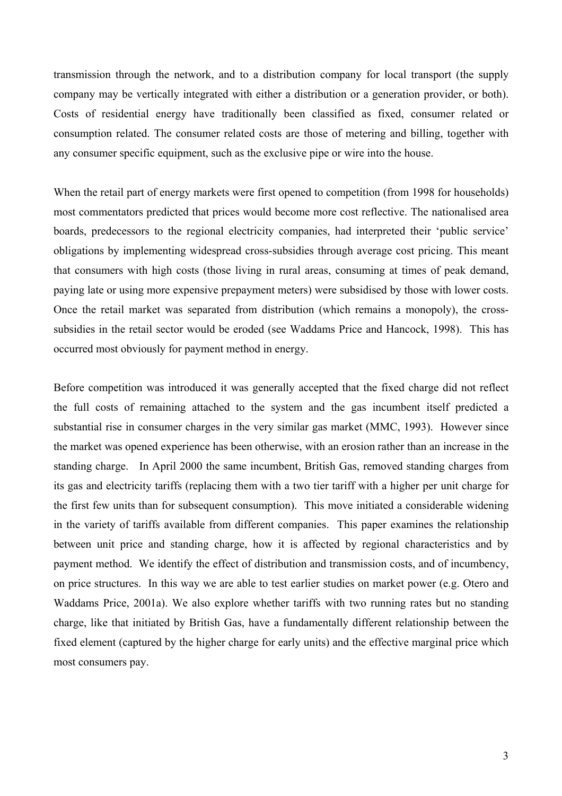transmission through the network, and to a distribution company for local transport (the supply company may be vertically integrated with either a distribution or a generation provider, or both). Costs of residential energy have traditionally been classified as fixed, consumer related or consumption related. The consumer related costs are those of metering and billing, together with any consumer specific equipment, such as the exclusive pipe or wire into the house.

When the retail part of energy markets were first opened to competition (from 1998 for households) most commentators predicted that prices would become more cost reflective. The nationalised area boards, predecessors to the regional electricity companies, had interpreted their 'public service' obligations by implementing widespread cross-subsidies through average cost pricing. This meant that consumers with high costs (those living in rural areas, consuming at times of peak demand, paying late or using more expensive prepayment meters) were subsidised by those with lower costs. Once the retail market was separated from distribution (which remains a monopoly), the crosssubsidies in the retail sector would be eroded (see Waddams Price and Hancock, 1998). This has occurred most obviously for payment method in energy.

Before competition was introduced it was generally accepted that the fixed charge did not reflect the full costs of remaining attached to the system and the gas incumbent itself predicted a substantial rise in consumer charges in the very similar gas market (MMC, 1993). However since the market was opened experience has been otherwise, with an erosion rather than an increase in the standing charge. In April 2000 the same incumbent, British Gas, removed standing charges from its gas and electricity tariffs (replacing them with a two tier tariff with a higher per unit charge for the first few units than for subsequent consumption). This move initiated a considerable widening in the variety of tariffs available from different companies. This paper examines the relationship between unit price and standing charge, how it is affected by regional characteristics and by payment method. We identify the effect of distribution and transmission costs, and of incumbency, on price structures. In this way we are able to test earlier studies on market power (e.g. Otero and Waddams Price, 2001a). We also explore whether tariffs with two running rates but no standing charge, like that initiated by British Gas, have a fundamentally different relationship between the fixed element (captured by the higher charge for early units) and the effective marginal price which most consumers pay.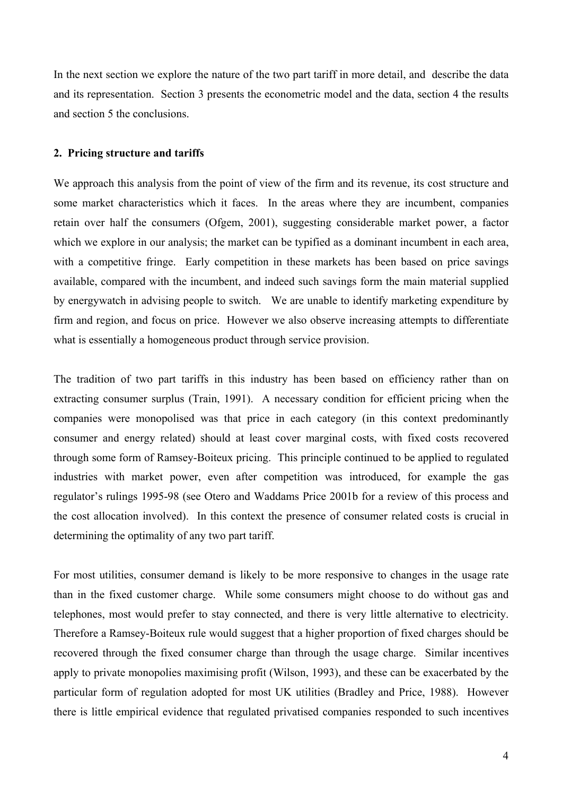In the next section we explore the nature of the two part tariff in more detail, and describe the data and its representation. Section 3 presents the econometric model and the data, section 4 the results and section 5 the conclusions.

#### **2. Pricing structure and tariffs**

We approach this analysis from the point of view of the firm and its revenue, its cost structure and some market characteristics which it faces. In the areas where they are incumbent, companies retain over half the consumers (Ofgem, 2001), suggesting considerable market power, a factor which we explore in our analysis; the market can be typified as a dominant incumbent in each area, with a competitive fringe. Early competition in these markets has been based on price savings available, compared with the incumbent, and indeed such savings form the main material supplied by energywatch in advising people to switch. We are unable to identify marketing expenditure by firm and region, and focus on price. However we also observe increasing attempts to differentiate what is essentially a homogeneous product through service provision.

The tradition of two part tariffs in this industry has been based on efficiency rather than on extracting consumer surplus (Train, 1991). A necessary condition for efficient pricing when the companies were monopolised was that price in each category (in this context predominantly consumer and energy related) should at least cover marginal costs, with fixed costs recovered through some form of Ramsey-Boiteux pricing. This principle continued to be applied to regulated industries with market power, even after competition was introduced, for example the gas regulator's rulings 1995-98 (see Otero and Waddams Price 2001b for a review of this process and the cost allocation involved). In this context the presence of consumer related costs is crucial in determining the optimality of any two part tariff.

For most utilities, consumer demand is likely to be more responsive to changes in the usage rate than in the fixed customer charge. While some consumers might choose to do without gas and telephones, most would prefer to stay connected, and there is very little alternative to electricity. Therefore a Ramsey-Boiteux rule would suggest that a higher proportion of fixed charges should be recovered through the fixed consumer charge than through the usage charge. Similar incentives apply to private monopolies maximising profit (Wilson, 1993), and these can be exacerbated by the particular form of regulation adopted for most UK utilities (Bradley and Price, 1988). However there is little empirical evidence that regulated privatised companies responded to such incentives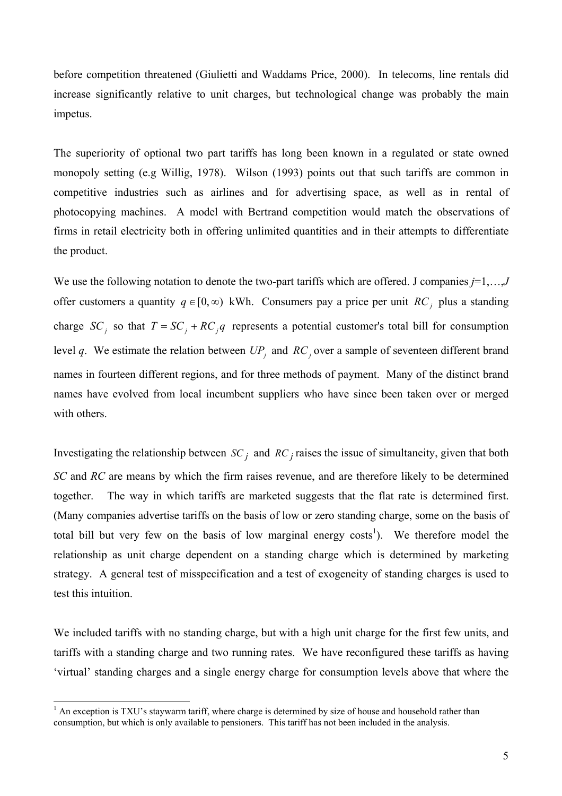before competition threatened (Giulietti and Waddams Price, 2000). In telecoms, line rentals did increase significantly relative to unit charges, but technological change was probably the main impetus.

The superiority of optional two part tariffs has long been known in a regulated or state owned monopoly setting (e.g Willig, 1978). Wilson (1993) points out that such tariffs are common in competitive industries such as airlines and for advertising space, as well as in rental of photocopying machines. A model with Bertrand competition would match the observations of firms in retail electricity both in offering unlimited quantities and in their attempts to differentiate the product.

We use the following notation to denote the two-part tariffs which are offered. J companies *j*=1,…,*J* offer customers a quantity  $q \in [0, \infty)$  kWh. Consumers pay a price per unit *RC<sub>i</sub>* plus a standing charge *SC<sub>i</sub>* so that  $T = SC_i + RC_jq$  represents a potential customer's total bill for consumption level *q*. We estimate the relation between  $UP<sub>j</sub>$  and  $RC<sub>j</sub>$  over a sample of seventeen different brand names in fourteen different regions, and for three methods of payment. Many of the distinct brand names have evolved from local incumbent suppliers who have since been taken over or merged with others.

Investigating the relationship between  $SC_j$  and  $RC_j$  raises the issue of simultaneity, given that both *SC* and *RC* are means by which the firm raises revenue, and are therefore likely to be determined together. The way in which tariffs are marketed suggests that the flat rate is determined first. (Many companies advertise tariffs on the basis of low or zero standing charge, some on the basis of total bill but very few on the basis of low marginal energy costs<sup>1</sup>). We therefore model the relationship as unit charge dependent on a standing charge which is determined by marketing strategy. A general test of misspecification and a test of exogeneity of standing charges is used to test this intuition.

We included tariffs with no standing charge, but with a high unit charge for the first few units, and tariffs with a standing charge and two running rates. We have reconfigured these tariffs as having 'virtual' standing charges and a single energy charge for consumption levels above that where the

 $\overline{\phantom{a}}$ 

<span id="page-5-0"></span> $<sup>1</sup>$  An exception is TXU's staywarm tariff, where charge is determined by size of house and household rather than</sup> consumption, but which is only available to pensioners. This tariff has not been included in the analysis.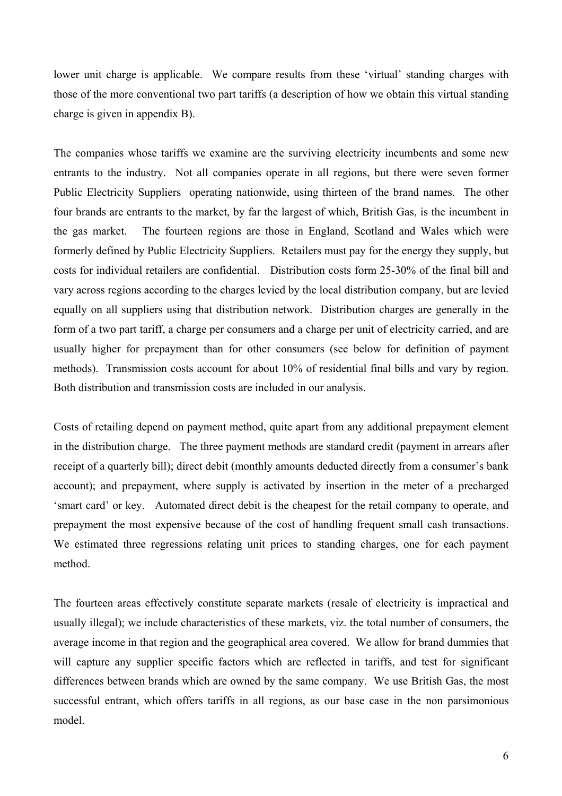lower unit charge is applicable. We compare results from these 'virtual' standing charges with those of the more conventional two part tariffs (a description of how we obtain this virtual standing charge is given in appendix B).

The companies whose tariffs we examine are the surviving electricity incumbents and some new entrants to the industry. Not all companies operate in all regions, but there were seven former Public Electricity Suppliers operating nationwide, using thirteen of the brand names. The other four brands are entrants to the market, by far the largest of which, British Gas, is the incumbent in the gas market. The fourteen regions are those in England, Scotland and Wales which were formerly defined by Public Electricity Suppliers. Retailers must pay for the energy they supply, but costs for individual retailers are confidential. Distribution costs form 25-30% of the final bill and vary across regions according to the charges levied by the local distribution company, but are levied equally on all suppliers using that distribution network. Distribution charges are generally in the form of a two part tariff, a charge per consumers and a charge per unit of electricity carried, and are usually higher for prepayment than for other consumers (see below for definition of payment methods). Transmission costs account for about 10% of residential final bills and vary by region. Both distribution and transmission costs are included in our analysis.

Costs of retailing depend on payment method, quite apart from any additional prepayment element in the distribution charge. The three payment methods are standard credit (payment in arrears after receipt of a quarterly bill); direct debit (monthly amounts deducted directly from a consumer's bank account); and prepayment, where supply is activated by insertion in the meter of a precharged 'smart card' or key. Automated direct debit is the cheapest for the retail company to operate, and prepayment the most expensive because of the cost of handling frequent small cash transactions. We estimated three regressions relating unit prices to standing charges, one for each payment method.

The fourteen areas effectively constitute separate markets (resale of electricity is impractical and usually illegal); we include characteristics of these markets, viz. the total number of consumers, the average income in that region and the geographical area covered. We allow for brand dummies that will capture any supplier specific factors which are reflected in tariffs, and test for significant differences between brands which are owned by the same company. We use British Gas, the most successful entrant, which offers tariffs in all regions, as our base case in the non parsimonious model.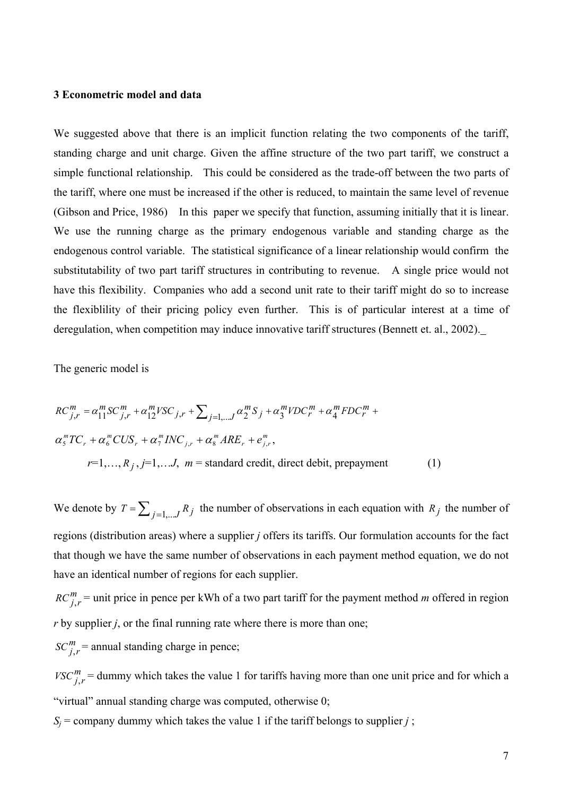#### **3 Econometric model and data**

We suggested above that there is an implicit function relating the two components of the tariff, standing charge and unit charge. Given the affine structure of the two part tariff, we construct a simple functional relationship. This could be considered as the trade-off between the two parts of the tariff, where one must be increased if the other is reduced, to maintain the same level of revenue (Gibson and Price, 1986) In this paper we specify that function, assuming initially that it is linear. We use the running charge as the primary endogenous variable and standing charge as the endogenous control variable. The statistical significance of a linear relationship would confirm the substitutability of two part tariff structures in contributing to revenue. A single price would not have this flexibility. Companies who add a second unit rate to their tariff might do so to increase the flexiblility of their pricing policy even further. This is of particular interest at a time of deregulation, when competition may induce innovative tariff structures (Bennett et. al., 2002).

The generic model is

$$
RC_{j,r}^{m} = \alpha_{11}^{m} SC_{j,r}^{m} + \alpha_{12}^{m} VSC_{j,r} + \sum_{j=1,...,J} \alpha_{2}^{m} S_{j} + \alpha_{3}^{m} VDC_{r}^{m} + \alpha_{4}^{m} FDC_{r}^{m} + \alpha_{5}^{m} CUS_{r} + \alpha_{6}^{m} CUS_{r} + \alpha_{7}^{m} INC_{j,r} + \alpha_{8}^{m} ARE_{r} + e_{j,r}^{m},
$$
  

$$
r=1,...,R_{j}, j=1,...,J, m = \text{standard credit, direct debt, prepayment}
$$
 (1)

We denote by  $T = \sum_{j=1,...,J} R_j$  the number of observations in each equation with  $R_j$  the number of regions (distribution areas) where a supplier *j* offers its tariffs. Our formulation accounts for the fact that though we have the same number of observations in each payment method equation, we do not have an identical number of regions for each supplier.

 $RC_{j,r}^m$  = unit price in pence per kWh of a two part tariff for the payment method *m* offered in region *r* by supplier *j*, or the final running rate where there is more than one;  $SC_{j,r}^{m}$  = annual standing charge in pence;

 $VSC_{j,r}^{m}$  = dummy which takes the value 1 for tariffs having more than one unit price and for which a "virtual" annual standing charge was computed, otherwise 0;

 $S_i$  = company dummy which takes the value 1 if the tariff belongs to supplier *j* ;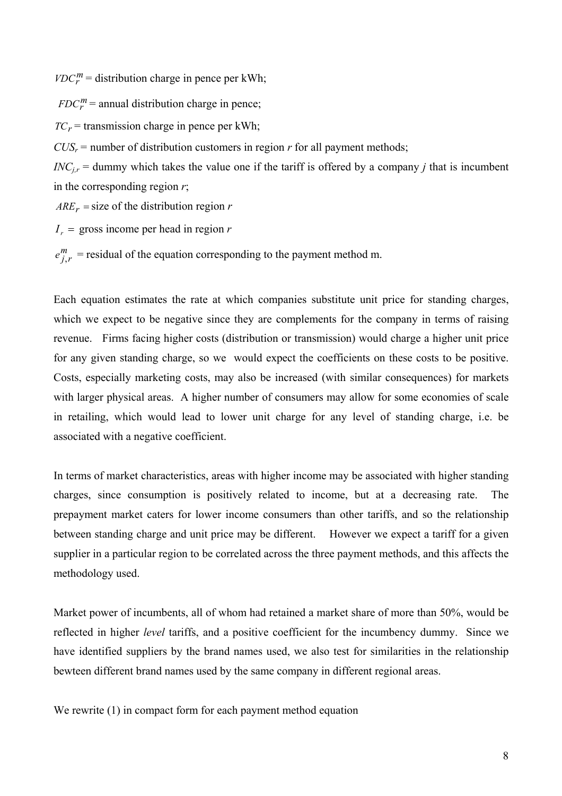$VDC_r^m$  = distribution charge in pence per kWh;

 $FDC_r^m$  = annual distribution charge in pence;

 $TC_r$  = transmission charge in pence per kWh;

 $CUS_r$  = number of distribution customers in region *r* for all payment methods;

 $INC_{j,r}$  = dummy which takes the value one if the tariff is offered by a company *j* that is incumbent in the corresponding region *r*;

 $ARE_r = size of the distribution region r$ 

 $I_r$  = gross income per head in region *r* 

 $e_{j,r}^m$  = residual of the equation corresponding to the payment method m.

Each equation estimates the rate at which companies substitute unit price for standing charges, which we expect to be negative since they are complements for the company in terms of raising revenue. Firms facing higher costs (distribution or transmission) would charge a higher unit price for any given standing charge, so we would expect the coefficients on these costs to be positive. Costs, especially marketing costs, may also be increased (with similar consequences) for markets with larger physical areas. A higher number of consumers may allow for some economies of scale in retailing, which would lead to lower unit charge for any level of standing charge, i.e. be associated with a negative coefficient.

In terms of market characteristics, areas with higher income may be associated with higher standing charges, since consumption is positively related to income, but at a decreasing rate. The prepayment market caters for lower income consumers than other tariffs, and so the relationship between standing charge and unit price may be different. However we expect a tariff for a given supplier in a particular region to be correlated across the three payment methods, and this affects the methodology used.

Market power of incumbents, all of whom had retained a market share of more than 50%, would be reflected in higher *level* tariffs, and a positive coefficient for the incumbency dummy. Since we have identified suppliers by the brand names used, we also test for similarities in the relationship bewteen different brand names used by the same company in different regional areas.

We rewrite (1) in compact form for each payment method equation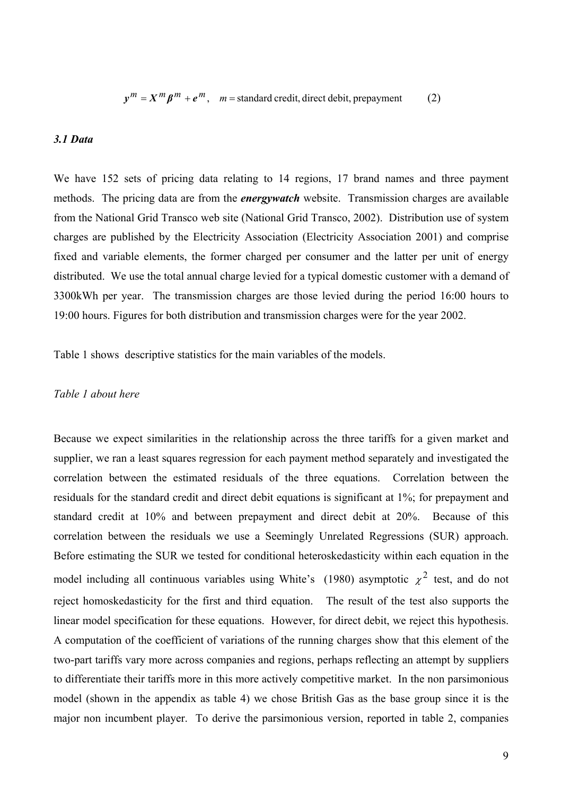$y^m = X^m \beta^m + e^m$ ,  $m =$  standard credit, direct debit, prepayment (2)

#### *3.1 Data*

We have 152 sets of pricing data relating to 14 regions, 17 brand names and three payment methods. The pricing data are from the *energywatch* website. Transmission charges are available from the National Grid Transco web site (National Grid Transco, 2002). Distribution use of system charges are published by the Electricity Association (Electricity Association 2001) and comprise fixed and variable elements, the former charged per consumer and the latter per unit of energy distributed. We use the total annual charge levied for a typical domestic customer with a demand of 3300kWh per year. The transmission charges are those levied during the period 16:00 hours to 19:00 hours. Figures for both distribution and transmission charges were for the year 2002.

Table 1 shows descriptive statistics for the main variables of the models.

#### *Table 1 about here*

Because we expect similarities in the relationship across the three tariffs for a given market and supplier, we ran a least squares regression for each payment method separately and investigated the correlation between the estimated residuals of the three equations. Correlation between the residuals for the standard credit and direct debit equations is significant at 1%; for prepayment and standard credit at 10% and between prepayment and direct debit at 20%. Because of this correlation between the residuals we use a Seemingly Unrelated Regressions (SUR) approach. Before estimating the SUR we tested for conditional heteroskedasticity within each equation in the model including all continuous variables using White's (1980) asymptotic  $\chi^2$  test, and do not reject homoskedasticity for the first and third equation. The result of the test also supports the linear model specification for these equations. However, for direct debit, we reject this hypothesis. A computation of the coefficient of variations of the running charges show that this element of the two-part tariffs vary more across companies and regions, perhaps reflecting an attempt by suppliers to differentiate their tariffs more in this more actively competitive market. In the non parsimonious model (shown in the appendix as table 4) we chose British Gas as the base group since it is the major non incumbent player. To derive the parsimonious version, reported in table 2, companies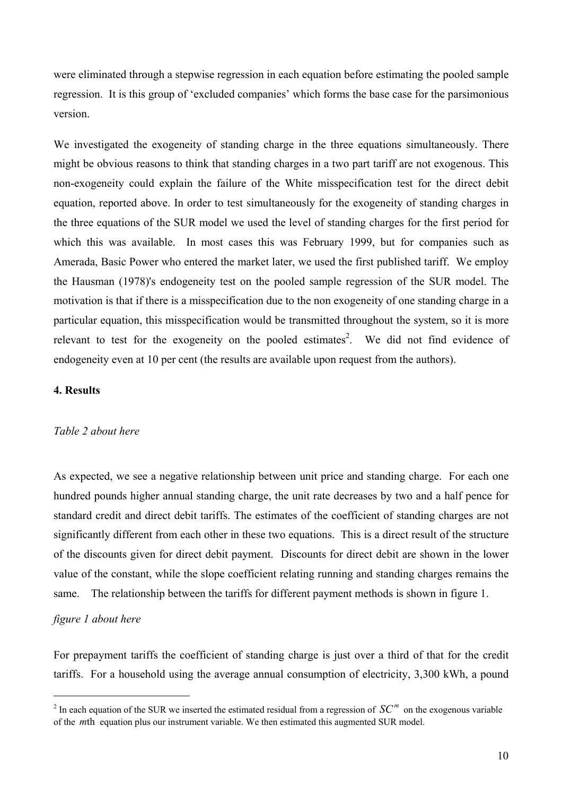were eliminated through a stepwise regression in each equation before estimating the pooled sample regression. It is this group of 'excluded companies' which forms the base case for the parsimonious version.

We investigated the exogeneity of standing charge in the three equations simultaneously. There might be obvious reasons to think that standing charges in a two part tariff are not exogenous. This non-exogeneity could explain the failure of the White misspecification test for the direct debit equation, reported above. In order to test simultaneously for the exogeneity of standing charges in the three equations of the SUR model we used the level of standing charges for the first period for which this was available. In most cases this was February 1999, but for companies such as Amerada, Basic Power who entered the market later, we used the first published tariff. We employ the Hausman (1978)'s endogeneity test on the pooled sample regression of the SUR model. The motivation is that if there is a misspecification due to the non exogeneity of one standing charge in a particular equation, this misspecification would be transmitted throughout the system, so it is more relevant to test for the exogeneity on the pooled estimates<sup>2</sup>. We did not find evidence of endogeneity even at 10 per cent (the results are available upon request from the authors).

#### **4. Results**

#### *Table 2 about here*

As expected, we see a negative relationship between unit price and standing charge. For each one hundred pounds higher annual standing charge, the unit rate decreases by two and a half pence for standard credit and direct debit tariffs. The estimates of the coefficient of standing charges are not significantly different from each other in these two equations. This is a direct result of the structure of the discounts given for direct debit payment. Discounts for direct debit are shown in the lower value of the constant, while the slope coefficient relating running and standing charges remains the same. The relationship between the tariffs for different payment methods is shown in figure 1.

#### *figure 1 about here*

 $\overline{\phantom{a}}$ 

For prepayment tariffs the coefficient of standing charge is just over a third of that for the credit tariffs. For a household using the average annual consumption of electricity, 3,300 kWh, a pound

<span id="page-10-0"></span><sup>&</sup>lt;sup>2</sup> In each equation of the SUR we inserted the estimated residual from a regression of  $SC^m$  on the exogenous variable of the *m*th equation plus our instrument variable. We then estimated this augmented SUR model.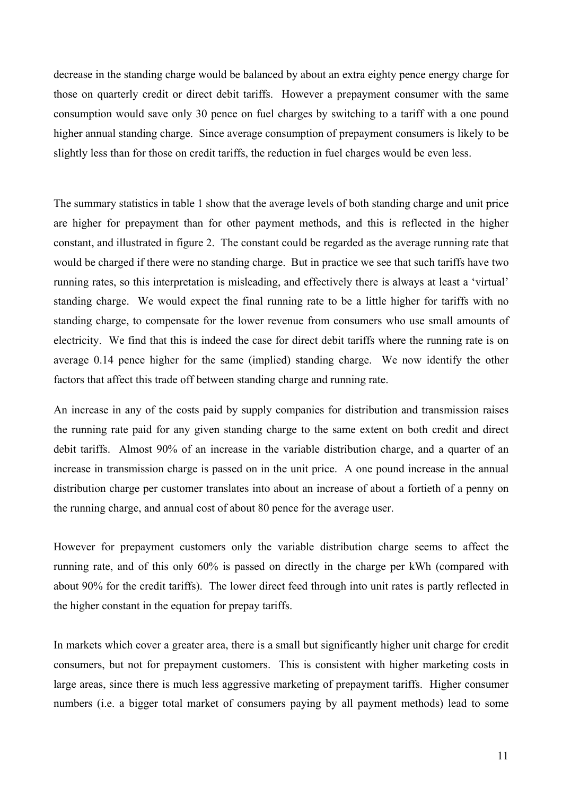decrease in the standing charge would be balanced by about an extra eighty pence energy charge for those on quarterly credit or direct debit tariffs. However a prepayment consumer with the same consumption would save only 30 pence on fuel charges by switching to a tariff with a one pound higher annual standing charge. Since average consumption of prepayment consumers is likely to be slightly less than for those on credit tariffs, the reduction in fuel charges would be even less.

The summary statistics in table 1 show that the average levels of both standing charge and unit price are higher for prepayment than for other payment methods, and this is reflected in the higher constant, and illustrated in figure 2. The constant could be regarded as the average running rate that would be charged if there were no standing charge. But in practice we see that such tariffs have two running rates, so this interpretation is misleading, and effectively there is always at least a 'virtual' standing charge. We would expect the final running rate to be a little higher for tariffs with no standing charge, to compensate for the lower revenue from consumers who use small amounts of electricity. We find that this is indeed the case for direct debit tariffs where the running rate is on average 0.14 pence higher for the same (implied) standing charge. We now identify the other factors that affect this trade off between standing charge and running rate.

An increase in any of the costs paid by supply companies for distribution and transmission raises the running rate paid for any given standing charge to the same extent on both credit and direct debit tariffs. Almost 90% of an increase in the variable distribution charge, and a quarter of an increase in transmission charge is passed on in the unit price. A one pound increase in the annual distribution charge per customer translates into about an increase of about a fortieth of a penny on the running charge, and annual cost of about 80 pence for the average user.

However for prepayment customers only the variable distribution charge seems to affect the running rate, and of this only 60% is passed on directly in the charge per kWh (compared with about 90% for the credit tariffs). The lower direct feed through into unit rates is partly reflected in the higher constant in the equation for prepay tariffs.

In markets which cover a greater area, there is a small but significantly higher unit charge for credit consumers, but not for prepayment customers. This is consistent with higher marketing costs in large areas, since there is much less aggressive marketing of prepayment tariffs. Higher consumer numbers (i.e. a bigger total market of consumers paying by all payment methods) lead to some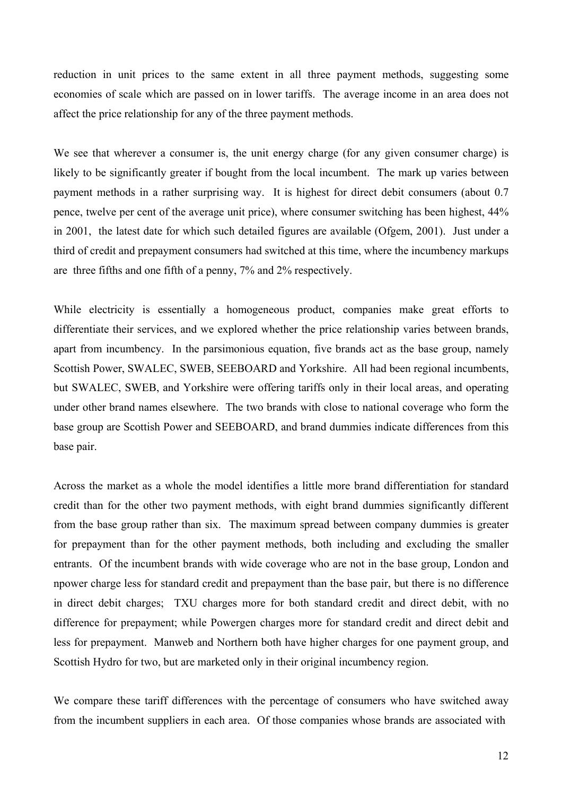reduction in unit prices to the same extent in all three payment methods, suggesting some economies of scale which are passed on in lower tariffs. The average income in an area does not affect the price relationship for any of the three payment methods.

We see that wherever a consumer is, the unit energy charge (for any given consumer charge) is likely to be significantly greater if bought from the local incumbent. The mark up varies between payment methods in a rather surprising way. It is highest for direct debit consumers (about 0.7 pence, twelve per cent of the average unit price), where consumer switching has been highest, 44% in 2001, the latest date for which such detailed figures are available (Ofgem, 2001). Just under a third of credit and prepayment consumers had switched at this time, where the incumbency markups are three fifths and one fifth of a penny, 7% and 2% respectively.

While electricity is essentially a homogeneous product, companies make great efforts to differentiate their services, and we explored whether the price relationship varies between brands, apart from incumbency. In the parsimonious equation, five brands act as the base group, namely Scottish Power, SWALEC, SWEB, SEEBOARD and Yorkshire. All had been regional incumbents, but SWALEC, SWEB, and Yorkshire were offering tariffs only in their local areas, and operating under other brand names elsewhere. The two brands with close to national coverage who form the base group are Scottish Power and SEEBOARD, and brand dummies indicate differences from this base pair.

Across the market as a whole the model identifies a little more brand differentiation for standard credit than for the other two payment methods, with eight brand dummies significantly different from the base group rather than six. The maximum spread between company dummies is greater for prepayment than for the other payment methods, both including and excluding the smaller entrants. Of the incumbent brands with wide coverage who are not in the base group, London and npower charge less for standard credit and prepayment than the base pair, but there is no difference in direct debit charges; TXU charges more for both standard credit and direct debit, with no difference for prepayment; while Powergen charges more for standard credit and direct debit and less for prepayment. Manweb and Northern both have higher charges for one payment group, and Scottish Hydro for two, but are marketed only in their original incumbency region.

We compare these tariff differences with the percentage of consumers who have switched away from the incumbent suppliers in each area. Of those companies whose brands are associated with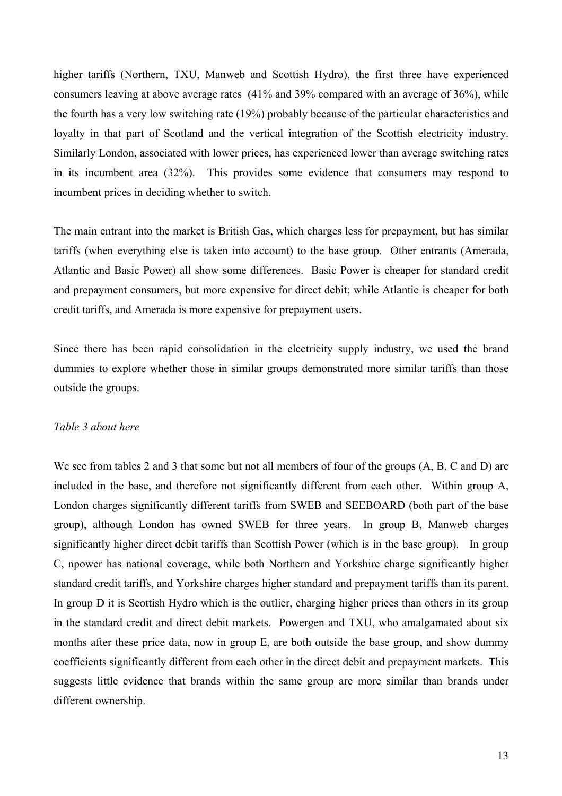higher tariffs (Northern, TXU, Manweb and Scottish Hydro), the first three have experienced consumers leaving at above average rates (41% and 39% compared with an average of 36%), while the fourth has a very low switching rate (19%) probably because of the particular characteristics and loyalty in that part of Scotland and the vertical integration of the Scottish electricity industry. Similarly London, associated with lower prices, has experienced lower than average switching rates in its incumbent area (32%). This provides some evidence that consumers may respond to incumbent prices in deciding whether to switch.

The main entrant into the market is British Gas, which charges less for prepayment, but has similar tariffs (when everything else is taken into account) to the base group. Other entrants (Amerada, Atlantic and Basic Power) all show some differences. Basic Power is cheaper for standard credit and prepayment consumers, but more expensive for direct debit; while Atlantic is cheaper for both credit tariffs, and Amerada is more expensive for prepayment users.

Since there has been rapid consolidation in the electricity supply industry, we used the brand dummies to explore whether those in similar groups demonstrated more similar tariffs than those outside the groups.

#### *Table 3 about here*

We see from tables 2 and 3 that some but not all members of four of the groups  $(A, B, C \text{ and } D)$  are included in the base, and therefore not significantly different from each other. Within group A, London charges significantly different tariffs from SWEB and SEEBOARD (both part of the base group), although London has owned SWEB for three years. In group B, Manweb charges significantly higher direct debit tariffs than Scottish Power (which is in the base group). In group C, npower has national coverage, while both Northern and Yorkshire charge significantly higher standard credit tariffs, and Yorkshire charges higher standard and prepayment tariffs than its parent. In group D it is Scottish Hydro which is the outlier, charging higher prices than others in its group in the standard credit and direct debit markets. Powergen and TXU, who amalgamated about six months after these price data, now in group E, are both outside the base group, and show dummy coefficients significantly different from each other in the direct debit and prepayment markets. This suggests little evidence that brands within the same group are more similar than brands under different ownership.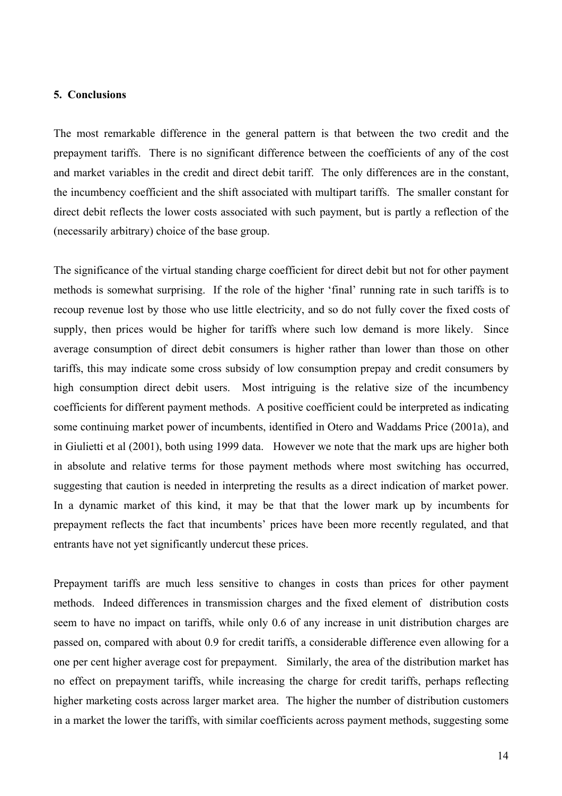#### **5. Conclusions**

The most remarkable difference in the general pattern is that between the two credit and the prepayment tariffs. There is no significant difference between the coefficients of any of the cost and market variables in the credit and direct debit tariff. The only differences are in the constant, the incumbency coefficient and the shift associated with multipart tariffs. The smaller constant for direct debit reflects the lower costs associated with such payment, but is partly a reflection of the (necessarily arbitrary) choice of the base group.

The significance of the virtual standing charge coefficient for direct debit but not for other payment methods is somewhat surprising. If the role of the higher 'final' running rate in such tariffs is to recoup revenue lost by those who use little electricity, and so do not fully cover the fixed costs of supply, then prices would be higher for tariffs where such low demand is more likely. Since average consumption of direct debit consumers is higher rather than lower than those on other tariffs, this may indicate some cross subsidy of low consumption prepay and credit consumers by high consumption direct debit users. Most intriguing is the relative size of the incumbency coefficients for different payment methods. A positive coefficient could be interpreted as indicating some continuing market power of incumbents, identified in Otero and Waddams Price (2001a), and in Giulietti et al (2001), both using 1999 data. However we note that the mark ups are higher both in absolute and relative terms for those payment methods where most switching has occurred, suggesting that caution is needed in interpreting the results as a direct indication of market power. In a dynamic market of this kind, it may be that that the lower mark up by incumbents for prepayment reflects the fact that incumbents' prices have been more recently regulated, and that entrants have not yet significantly undercut these prices.

Prepayment tariffs are much less sensitive to changes in costs than prices for other payment methods. Indeed differences in transmission charges and the fixed element of distribution costs seem to have no impact on tariffs, while only 0.6 of any increase in unit distribution charges are passed on, compared with about 0.9 for credit tariffs, a considerable difference even allowing for a one per cent higher average cost for prepayment. Similarly, the area of the distribution market has no effect on prepayment tariffs, while increasing the charge for credit tariffs, perhaps reflecting higher marketing costs across larger market area. The higher the number of distribution customers in a market the lower the tariffs, with similar coefficients across payment methods, suggesting some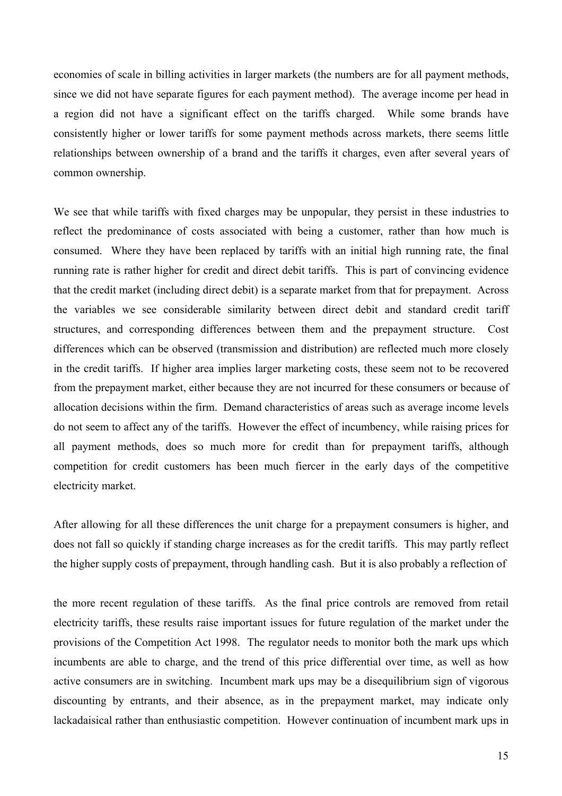economies of scale in billing activities in larger markets (the numbers are for all payment methods, since we did not have separate figures for each payment method). The average income per head in a region did not have a significant effect on the tariffs charged. While some brands have consistently higher or lower tariffs for some payment methods across markets, there seems little relationships between ownership of a brand and the tariffs it charges, even after several years of common ownership.

We see that while tariffs with fixed charges may be unpopular, they persist in these industries to reflect the predominance of costs associated with being a customer, rather than how much is consumed. Where they have been replaced by tariffs with an initial high running rate, the final running rate is rather higher for credit and direct debit tariffs. This is part of convincing evidence that the credit market (including direct debit) is a separate market from that for prepayment. Across the variables we see considerable similarity between direct debit and standard credit tariff structures, and corresponding differences between them and the prepayment structure. Cost differences which can be observed (transmission and distribution) are reflected much more closely in the credit tariffs. If higher area implies larger marketing costs, these seem not to be recovered from the prepayment market, either because they are not incurred for these consumers or because of allocation decisions within the firm. Demand characteristics of areas such as average income levels do not seem to affect any of the tariffs. However the effect of incumbency, while raising prices for all payment methods, does so much more for credit than for prepayment tariffs, although competition for credit customers has been much fiercer in the early days of the competitive electricity market.

After allowing for all these differences the unit charge for a prepayment consumers is higher, and does not fall so quickly if standing charge increases as for the credit tariffs. This may partly reflect the higher supply costs of prepayment, through handling cash. But it is also probably a reflection of

the more recent regulation of these tariffs. As the final price controls are removed from retail electricity tariffs, these results raise important issues for future regulation of the market under the provisions of the Competition Act 1998. The regulator needs to monitor both the mark ups which incumbents are able to charge, and the trend of this price differential over time, as well as how active consumers are in switching. Incumbent mark ups may be a disequilibrium sign of vigorous discounting by entrants, and their absence, as in the prepayment market, may indicate only lackadaisical rather than enthusiastic competition. However continuation of incumbent mark ups in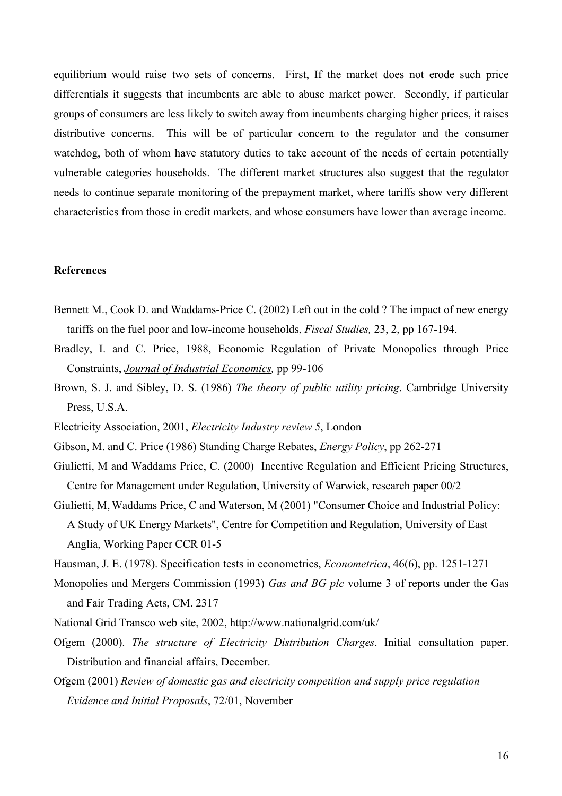equilibrium would raise two sets of concerns. First, If the market does not erode such price differentials it suggests that incumbents are able to abuse market power. Secondly, if particular groups of consumers are less likely to switch away from incumbents charging higher prices, it raises distributive concerns. This will be of particular concern to the regulator and the consumer watchdog, both of whom have statutory duties to take account of the needs of certain potentially vulnerable categories households. The different market structures also suggest that the regulator needs to continue separate monitoring of the prepayment market, where tariffs show very different characteristics from those in credit markets, and whose consumers have lower than average income.

#### **References**

- Bennett M., Cook D. and Waddams-Price C. (2002) Left out in the cold ? The impact of new energy tariffs on the fuel poor and low-income households, *Fiscal Studies,* 23, 2, pp 167-194.
- Bradley, I. and C. Price, 1988, Economic Regulation of Private Monopolies through Price Constraints, *Journal of Industrial Economics,* pp 99-106
- Brown, S. J. and Sibley, D. S. (1986) *The theory of public utility pricing*. Cambridge University Press, U.S.A.
- Electricity Association, 2001, *Electricity Industry review 5*, London
- Gibson, M. and C. Price (1986) Standing Charge Rebates, *Energy Policy*, pp 262-271
- Giulietti, M and Waddams Price, C. (2000) Incentive Regulation and Efficient Pricing Structures, [Centre fo](http://users.wbs.warwick.ac.uk/cmur/staff/giulietti/)[r Management unde](http://www.mgt.uea.ac.uk/people/waddams-c.asp)r R[egulation, Univ](http://www.warwick.ac.uk/fac/soc/Economics/waterson/)ersity of Warwick, research paper 00/2
- Giulietti, M, Waddams Price, C and Waterson, M (2001) "Consumer Choice and Industrial Policy: A Stud[y of UK Energy Markets", C](#page-0-0)entre for Competition and Regulation, University of East Anglia, Working Paper CCR 01-5
- Hausman, J. E. (1978). Specification tests in econometrics, *Econometrica*, 46(6), pp. 1251-1271
- Monopolies and Mergers Commission (1993) *Gas and BG plc* volume 3 of reports under the Gas and Fair Trading Acts, CM. 2317
- National Grid Transco web site, 2002, http://www.nationalgrid.com/uk/
- Ofgem (2000). *The structure of Electricity Distribution Charges*. Initial consultation paper. Distribution and financial affairs, December.
- Ofgem (2001) *Review of domestic gas and electricity competition and supply price regulation Evidence and Initial Proposals*, 72/01, November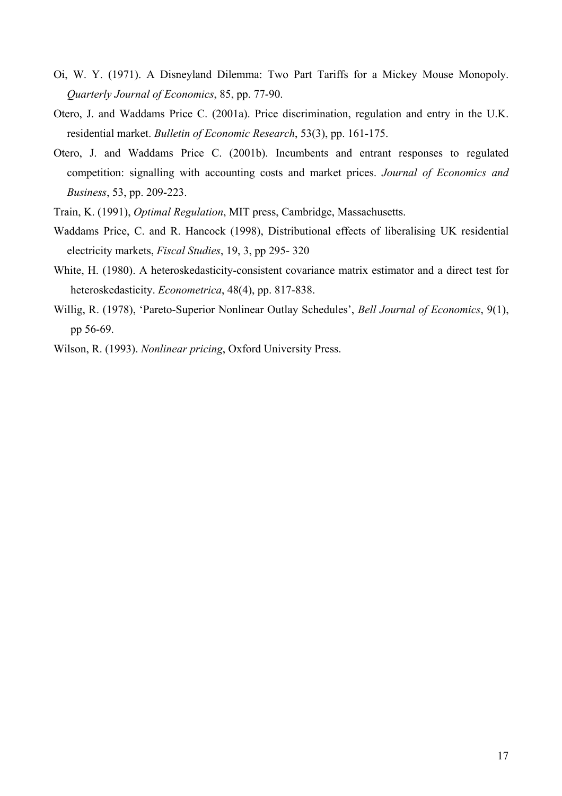- Oi, W. Y. (1971). A Disneyland Dilemma: Two Part Tariffs for a Mickey Mouse Monopoly. *Quarterly Journal of Economics*, 85, pp. 77-90.
- Otero, J. and Waddams Price C. (2001a). Price discrimination, regulation and entry in the U.K. residential market. *Bulletin of Economic Research*, 53(3), pp. 161-175.
- Otero, J. and Waddams Price C. (2001b). Incumbents and entrant responses to regulated competition: signalling with accounting costs and market prices. *Journal of Economics and Business*, 53, pp. 209-223.
- Train, K. (1991), *Optimal Regulation*, MIT press, Cambridge, Massachusetts.
- Waddams Price, C. and R. Hancock (1998), Distributional effects of liberalising UK residential electricity markets, *Fiscal Studies*, 19, 3, pp 295- 320
- White, H. (1980). A heteroskedasticity-consistent covariance matrix estimator and a direct test for heteroskedasticity. *Econometrica*, 48(4), pp. 817-838.
- Willig, R. (1978), 'Pareto-Superior Nonlinear Outlay Schedules', *Bell Journal of Economics*, 9(1), pp 56-69.
- Wilson, R. (1993). *Nonlinear pricing*, Oxford University Press.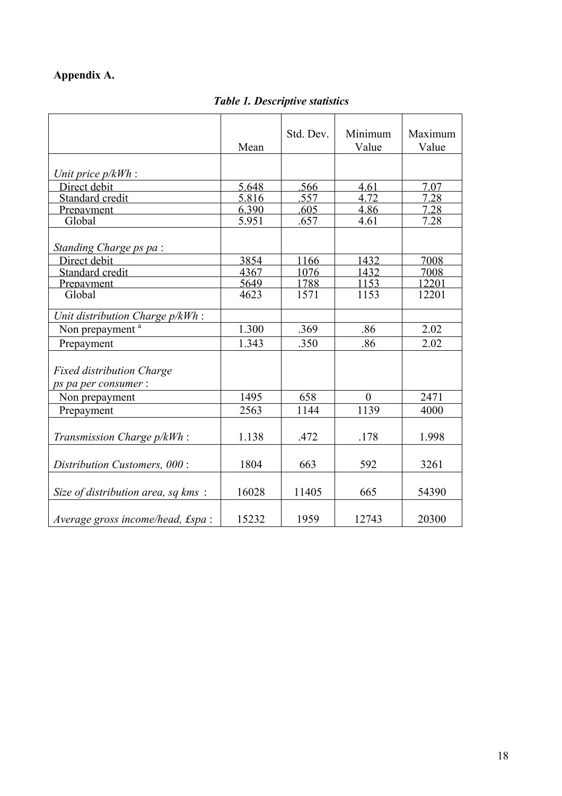# **Appendix A.**

*Table 1. Descriptive statistics*

|                                                          | Mean  | Std. Dev. | Minimum<br>Value | Maximum<br>Value |
|----------------------------------------------------------|-------|-----------|------------------|------------------|
| Unit price $p/kWh$ :                                     |       |           |                  |                  |
| Direct debit                                             | 5.648 | .566      | 4.61             | 7.07             |
| Standard credit                                          | 5.816 | .557      | 4.72             | 7.28             |
| Prepayment                                               | 6.390 | .605      | 4.86             | 7.28             |
| Global                                                   | 5.951 | .657      | 4.61             | 7.28             |
| Standing Charge ps pa:                                   |       |           |                  |                  |
| Direct debit                                             | 3854  | 1166      | 1432             | 7008             |
| Standard credit                                          | 4367  | 1076      | 1432             | 7008             |
| <u>Prepayment</u>                                        | 5649  | 1788      | 1153             | 12201            |
| Global                                                   | 4623  | 1571      | 1153             | 12201            |
| Unit distribution Charge p/kWh:                          |       |           |                  |                  |
| Non prepayment <sup>a</sup>                              | 1.300 | .369      | .86              | 2.02             |
| Prepayment                                               | 1.343 | .350      | .86              | 2.02             |
| <b>Fixed distribution Charge</b><br>ps pa per consumer : |       |           |                  |                  |
| Non prepayment                                           | 1495  | 658       | $\theta$         | 2471             |
| Prepayment                                               | 2563  | 1144      | 1139             | 4000             |
| Transmission Charge p/kWh:                               | 1.138 | .472      | .178             | 1.998            |
| Distribution Customers, 000:                             | 1804  | 663       | 592              | 3261             |
| Size of distribution area, sq kms:                       | 16028 | 11405     | 665              | 54390            |
| Average gross income/head, £spa:                         | 15232 | 1959      | 12743            | 20300            |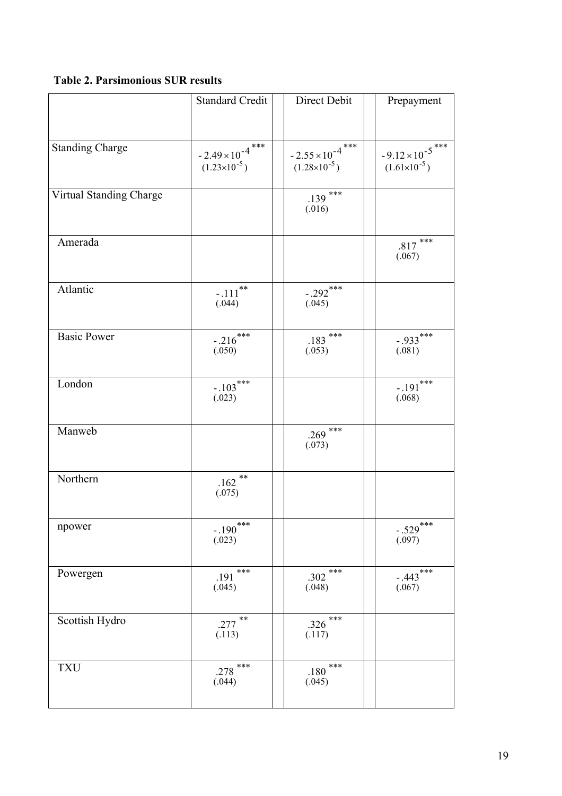## **Table 2. Parsimonious SUR results**

|                         | <b>Standard Credit</b>                              | Direct Debit                                        | Prepayment                                          |
|-------------------------|-----------------------------------------------------|-----------------------------------------------------|-----------------------------------------------------|
|                         |                                                     |                                                     |                                                     |
| Standing Charge         | $-2.49 \times 10^{-4}$ ***<br>$(1.23\times10^{-5})$ | $-2.55 \times 10^{-4}$ ***<br>$(1.28\times10^{-5})$ | $-9.12 \times 10^{-5}$ ***<br>$(1.61\times10^{-5})$ |
| Virtual Standing Charge |                                                     | $.139***$<br>(.016)                                 |                                                     |
| Amerada                 |                                                     |                                                     | ***<br>.817<br>(.067)                               |
| Atlantic                | $-111^{**}$<br>(.044)                               | $-0.292$ ***<br>(.045)                              |                                                     |
| <b>Basic Power</b>      | $-.216***$<br>(.050)                                | $.183$ ***<br>(.053)                                | $-.933***$<br>(.081)                                |
| London                  | $-103***$<br>(.023)                                 |                                                     | $-191***$<br>(.068)                                 |
| Manweb                  |                                                     | ***<br>.269<br>(.073)                               |                                                     |
| Northern                | $***$<br>.162<br>(.075)                             |                                                     |                                                     |
| npower                  | $-190$ ***<br>(.023)                                |                                                     | $-529***$<br>(.097)                                 |
| Powergen                | ***<br>.191<br>(.045)                               | $***$<br>.302<br>(.048)                             | $-0.443$<br>$(.067)$                                |
| Scottish Hydro          | $.277$ **<br>(.113)                                 | ***<br>.326<br>(.117)                               |                                                     |
| <b>TXU</b>              | $***$<br>.278<br>(.044)                             | $***$<br>.180<br>(.045)                             |                                                     |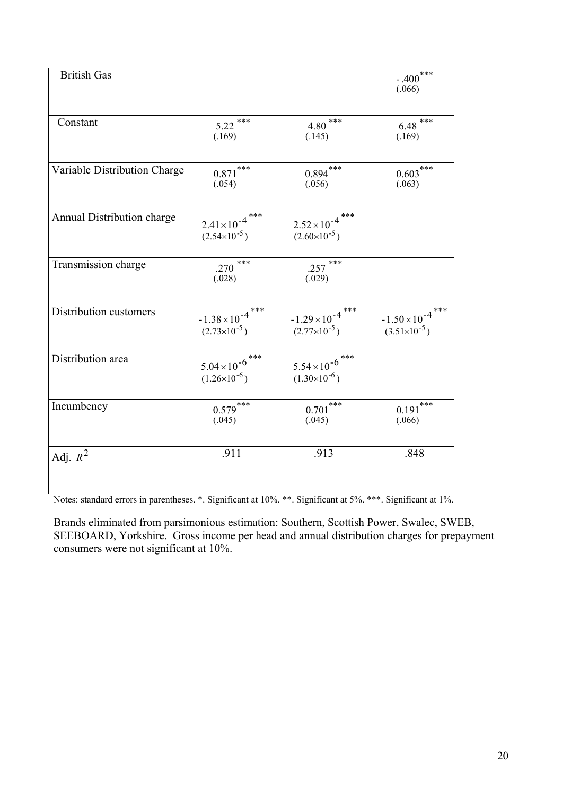| <b>British Gas</b>           |                                                       |                                                       | $-400***$<br>(.066)                                    |
|------------------------------|-------------------------------------------------------|-------------------------------------------------------|--------------------------------------------------------|
| Constant                     | $5.22$ ***<br>(.169)                                  | ***<br>4.80<br>(.145)                                 | $6.48***$<br>(.169)                                    |
| Variable Distribution Charge | $0.871***$<br>(.054)                                  | $0.894***$<br>(.056)                                  | $0.603***$<br>(.063)                                   |
| Annual Distribution charge   | ***<br>$2.41 \times 10^{-4}$<br>$(2.54\times10^{-5})$ | ***<br>$2.52 \times 10^{-4}$<br>$(2.60\times10^{-5})$ |                                                        |
| Transmission charge          | $.270$ ***<br>(.028)                                  | $.257$ ***<br>(.029)                                  |                                                        |
| Distribution customers       | $-1.38 \times 10^{-4}$ ***<br>$(2.73\times10^{-5})$   | $-1.29 \times 10^{-4}$<br>$(2.77\times10^{-5})$       | ***<br>$-1.50 \times 10^{-4}$<br>$(3.51\times10^{-5})$ |
| Distribution area            | $5.04 \times 10^{-6}$ ***<br>$(1.26\times10^{-6})$    | $5.54 \times 10^{-6}$ ***<br>$(1.30\times10^{-6})$    |                                                        |
| Incumbency                   | $0.579***$<br>(.045)                                  | $0.701***$<br>(.045)                                  | ***<br>0.191<br>(.066)                                 |
| Adj. $R^2$                   | .911                                                  | .913                                                  | .848                                                   |

Notes: standard errors in parentheses. \*. Significant at 10%. \*\*. Significant at 5%. \*\*\*. Significant at 1%.

Brands eliminated from parsimonious estimation: Southern, Scottish Power, Swalec, SWEB, SEEBOARD, Yorkshire. Gross income per head and annual distribution charges for prepayment consumers were not significant at 10%.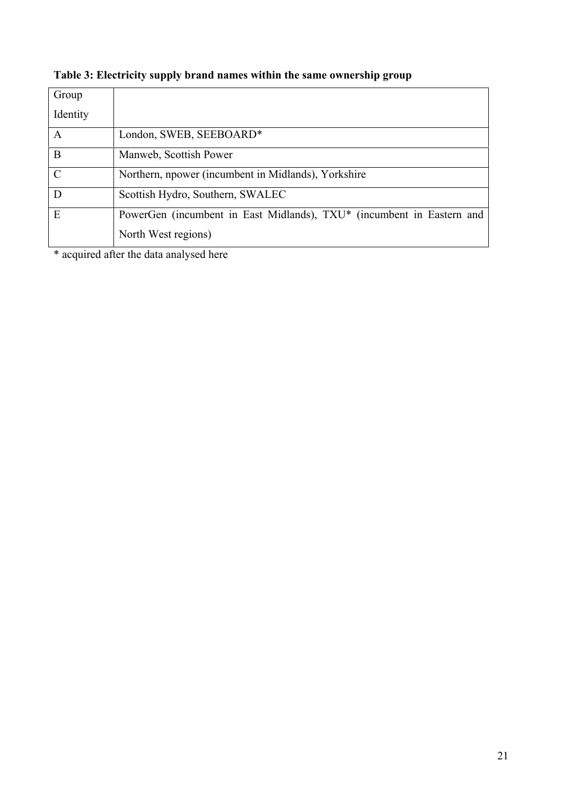| Table 3: Electricity supply brand names within the same ownership group |  |  |
|-------------------------------------------------------------------------|--|--|
|                                                                         |  |  |

| Group         |                                                                       |
|---------------|-----------------------------------------------------------------------|
| Identity      |                                                                       |
| A             | London, SWEB, SEEBOARD*                                               |
| B             | Manweb, Scottish Power                                                |
| $\mathcal{C}$ | Northern, npower (incumbent in Midlands), Yorkshire                   |
| D             | Scottish Hydro, Southern, SWALEC                                      |
| E             | PowerGen (incumbent in East Midlands), TXU* (incumbent in Eastern and |
|               | North West regions)                                                   |

\* acquired after the data analysed here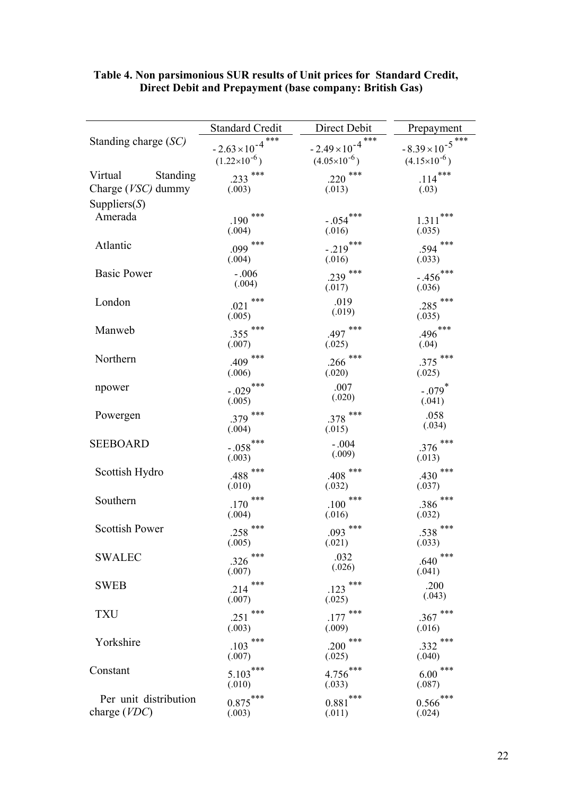|                                           | <b>Standard Credit</b>                                 | Direct Debit                                             | Prepayment                                        |
|-------------------------------------------|--------------------------------------------------------|----------------------------------------------------------|---------------------------------------------------|
| Standing charge (SC)                      | ***<br>$-2.63 \times 10^{-4}$<br>$(1.22\times10^{-6})$ | $***$<br>$-2.49 \times 10^{-4}$<br>$(4.05\times10^{-6})$ | $-8.39\times10^{-5}$ ***<br>$(4.15\times10^{-6})$ |
| Standing<br>Virtual<br>Charge (VSC) dummy | .233 ***<br>(.003)                                     | .220 ***<br>(.013)                                       | $114***$<br>(.03)                                 |
| Suppliers $(S)$<br>Amerada                | ***<br>$.190$ <sup>-1</sup><br>(.004)                  | $-0.054***$<br>(.016)                                    | ***<br>1.311<br>(.035)                            |
| Atlantic                                  | .099 ***<br>(.004)                                     | $-0.219***$<br>(.016)                                    | ***<br>.594<br>(.033)                             |
| <b>Basic Power</b>                        | $-.006$<br>(.004)                                      | .239 ***<br>(.017)                                       | $-456$ ***<br>(.036)                              |
| London                                    | $.021$ ***<br>(.005)                                   | .019<br>(.019)                                           | .285 ***<br>(.035)                                |
| Manweb                                    | .355 ***<br>(.007)                                     | $.497$ ***<br>(.025)                                     | $.496***$<br>(.04)                                |
| Northern                                  | $.409$ ***<br>(.006)                                   | .266 ***<br>(.020)                                       | .375 ***<br>(.025)                                |
| npower                                    | $-0.029$ ***<br>(.005)                                 | .007<br>(.020)                                           | $-.079$ <sup>*</sup><br>(.041)                    |
| Powergen                                  | .379 ***<br>(.004)                                     | $.378$ ***<br>(.015)                                     | .058<br>(.034)                                    |
| <b>SEEBOARD</b>                           | $-0.058$ ***<br>(.003)                                 | $-.004$<br>(.009)                                        | $.376$ ***<br>(.013)                              |
| Scottish Hydro                            | $.488$ ***<br>(.010)                                   | $.408$ ***<br>(.032)                                     | ***<br>.430<br>(.037)                             |
| Southern                                  | $.170$ ***<br>(.004)                                   | ***<br>.100<br>(.016)                                    | ***<br>.386<br>(.032)                             |
| <b>Scottish Power</b>                     | $.258$ ***<br>(.005)                                   | $.093$ ***<br>(.021)                                     | ***<br>.538<br>(.033)                             |
| <b>SWALEC</b>                             | .326 ***<br>(.007)                                     | .032<br>(.026)                                           | ***<br>.640<br>(.041)                             |
| <b>SWEB</b>                               | $.214$ ***<br>(.007)                                   | $.123$ ***<br>(.025)                                     | .200<br>(.043)                                    |
| <b>TXU</b>                                | .251 ***<br>(.003)                                     | $.177$ ***<br>(.009)                                     | ***<br>.367<br>(.016)                             |
| Yorkshire                                 | $.103$ ***<br>(.007)                                   | ***<br>.200<br>(.025)                                    | ***<br>.332<br>(.040)                             |
| Constant                                  | $5.103***$<br>(.010)                                   | $4.756***$<br>(.033)                                     | ***<br>6.00<br>(.087)                             |
| Per unit distribution<br>charge (VDC)     | $0.875***$<br>(.003)                                   | $0.881***$<br>(.011)                                     | $0.566***$<br>(.024)                              |

#### **Table 4. Non parsimonious SUR results of Unit prices for Standard Credit, Direct Debit and Prepayment (base company: British Gas)**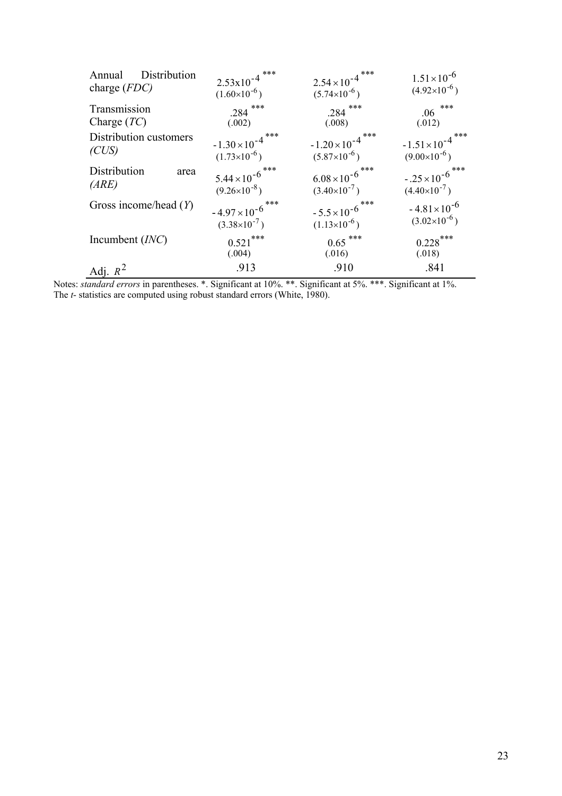| Distribution<br>Annual<br>charge $(FDC)$                                                                                      | $2.53 \times 10^{-4}$ ***<br>$(1.60\times10^{-6})$ | $2.54 \times 10^{-4}$ ***<br>$(5.74\times10^{-6})$     | $1.51 \times 10^{-6}$<br>$(4.92\times10^{-6})$     |
|-------------------------------------------------------------------------------------------------------------------------------|----------------------------------------------------|--------------------------------------------------------|----------------------------------------------------|
| Transmission<br>Charge $(TC)$                                                                                                 | $.284$ ***<br>(.002)                               | $.284$ ***<br>(.008)                                   | ***<br>.06<br>(.012)                               |
| Distribution customers<br>(CUS)                                                                                               | $-1.30 \times 10^{-4}$<br>$(1.73\times10^{-6})$    | ***<br>$-1.20 \times 10^{-4}$<br>$(5.87\times10^{-6})$ | $-1.51 \times 10^{-4}$<br>$(9.00\times10^{-6})$    |
| Distribution<br>area<br>(ARE)                                                                                                 | $5.44 \times 10^{-6}$<br>$(9.26\times10^{-8})$     | $6.08 \times 10^{-6}$ ***<br>$(3.40\times10^{-7})$     | $-.25 \times 10^{-6}$ ***<br>$(4.40\times10^{-7})$ |
| Gross income/head $(Y)$                                                                                                       | $-4.97 \times 10^{-6}$<br>$(3.38\times10^{-7})$    | $-5.5 \times 10^{-6}$ ***<br>$(1.13\times10^{-6})$     | $-4.81 \times 10^{-6}$<br>$(3.02\times10^{-6})$    |
| Incumbent $(INC)$                                                                                                             | $0.521$ ***<br>(.004)                              | $0.65***$<br>(.016)                                    | $0.228$ ***<br>(.018)                              |
| Adj. $R^2$<br><i>tandard errors</i> in parentheses $*$ Significant at $10\%$ ** Significant at $5\%$ *** Significant at $1\%$ | .913                                               | .910                                                   | .841                                               |

Notes: *standard errors* in parentheses. \*. Significant at 10%. \*\*. Significant at 5%. \*\*\*. Significant at 1%. The *t*- statistics are computed using robust standard errors (White, 1980).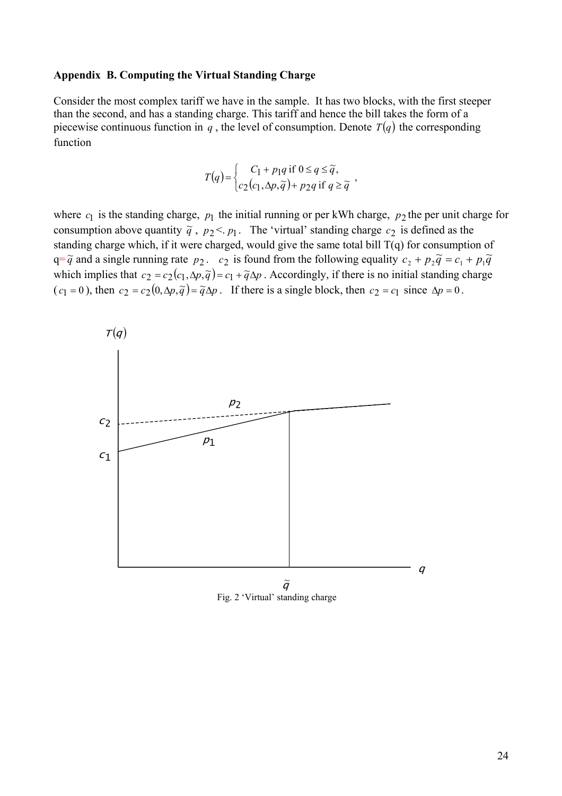#### **Appendix B. Computing the Virtual Standing Charge**

Consider the most complex tariff we have in the sample. It has two blocks, with the first steeper than the second, and has a standing charge. This tariff and hence the bill takes the form of a piecewise continuous function in  $q$ , the level of consumption. Denote  $T(q)$  the corresponding function

$$
T(q) = \begin{cases} C_1 + p_1 q \text{ if } 0 \le q \le \widetilde{q}, \\ c_2(c_1, \Delta p, \widetilde{q}) + p_2 q \text{ if } q \ge \widetilde{q} \end{cases}
$$

where  $c_1$  is the standing charge,  $p_1$  the initial running or per kWh charge,  $p_2$  the per unit charge for consumption above quantity  $\tilde{q}$ ,  $p_2 < p_1$ . The 'virtual' standing charge  $c_2$  is defined as the standing charge which, if it were charged, would give the same total bill T(q) for consumption of  $q = \tilde{q}$  and a single running rate  $p_2$ .  $c_2$  is found from the following equality  $c_2 + p_2 \tilde{q} = c_1 + p_1 \tilde{q}$ which implies that  $c_2 = c_2(c_1, \Delta p, \tilde{q}) = c_1 + \tilde{q}\Delta p$ . Accordingly, if there is no initial standing charge  $(c_1 = 0)$ , then  $c_2 = c_2(0, \Delta p, \tilde{q}) = \tilde{q}\Delta p$ . If there is a single block, then  $c_2 = c_1$  since  $\Delta p = 0$ .